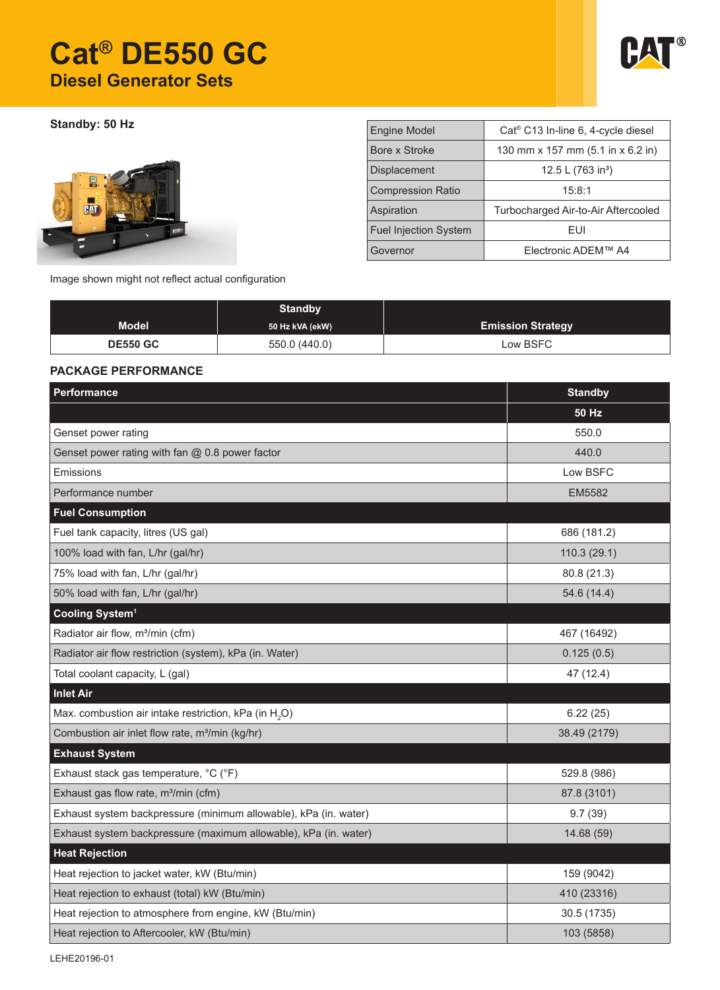# **Cat® DE550 GC Diesel Generator Sets**



**Standby: 50 Hz** 



| <b>Engine Model</b>          | Cat <sup>®</sup> C13 In-line 6, 4-cycle diesel |  |  |
|------------------------------|------------------------------------------------|--|--|
| Bore x Stroke                | 130 mm x 157 mm (5.1 in x 6.2 in)              |  |  |
| <b>Displacement</b>          | 12.5 L $(763 in3)$                             |  |  |
| <b>Compression Ratio</b>     | 15:8:1                                         |  |  |
| Aspiration                   | Turbocharged Air-to-Air Aftercooled            |  |  |
| <b>Fuel Injection System</b> | FUI                                            |  |  |
| Governor                     | Electronic ADEM™ A4                            |  |  |

Image shown might not reflect actual configuration

|                 | <b>Standby</b>  |                          |
|-----------------|-----------------|--------------------------|
| <b>Model</b>    | 50 Hz kVA (ekW) | <b>Emission Strategy</b> |
| <b>DE550 GC</b> | 550.0 (440.0)   | Low BSFC                 |

## **PACKAGE PERFORMANCE**

| Performance                                                       | <b>Standby</b> |
|-------------------------------------------------------------------|----------------|
|                                                                   | <b>50 Hz</b>   |
| Genset power rating                                               | 550.0          |
| Genset power rating with fan @ 0.8 power factor                   | 440.0          |
| Emissions                                                         | Low BSFC       |
| Performance number                                                | EM5582         |
| <b>Fuel Consumption</b>                                           |                |
| Fuel tank capacity, litres (US gal)                               | 686 (181.2)    |
| 100% load with fan, L/hr (gal/hr)                                 | 110.3(29.1)    |
| 75% load with fan, L/hr (gal/hr)                                  | 80.8 (21.3)    |
| 50% load with fan, L/hr (gal/hr)                                  | 54.6 (14.4)    |
| Cooling System <sup>1</sup>                                       |                |
| Radiator air flow, m <sup>3</sup> /min (cfm)                      | 467 (16492)    |
| Radiator air flow restriction (system), kPa (in. Water)           | 0.125(0.5)     |
| Total coolant capacity, L (gal)                                   | 47 (12.4)      |
| <b>Inlet Air</b>                                                  |                |
| Max. combustion air intake restriction, kPa (in H <sub>2</sub> O) | 6.22(25)       |
| Combustion air inlet flow rate, m <sup>3</sup> /min (kg/hr)       | 38.49 (2179)   |
| <b>Exhaust System</b>                                             |                |
| Exhaust stack gas temperature, °C (°F)                            | 529.8 (986)    |
| Exhaust gas flow rate, m <sup>3</sup> /min (cfm)                  | 87.8 (3101)    |
| Exhaust system backpressure (minimum allowable), kPa (in. water)  | 9.7(39)        |
| Exhaust system backpressure (maximum allowable), kPa (in. water)  | 14.68 (59)     |
| <b>Heat Rejection</b>                                             |                |
| Heat rejection to jacket water, kW (Btu/min)                      | 159 (9042)     |
| Heat rejection to exhaust (total) kW (Btu/min)                    | 410 (23316)    |
| Heat rejection to atmosphere from engine, kW (Btu/min)            | 30.5 (1735)    |
| Heat rejection to Aftercooler, kW (Btu/min)                       | 103 (5858)     |